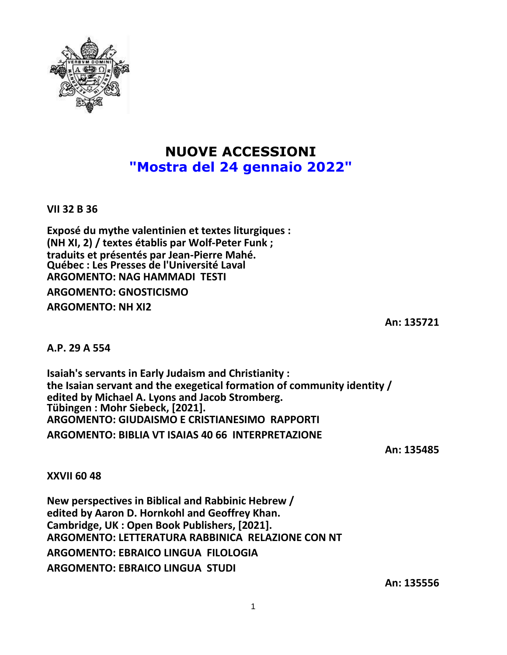

## **NUOVE ACCESSIONI "Mostra del 24 gennaio 2022"**

**VII 32 B 36**

**Exposé du mythe valentinien et textes liturgiques : (NH XI, 2) / textes établis par Wolf-Peter Funk ; traduits et présentés par Jean-Pierre Mahé. Québec : Les Presses de l'Université Laval ARGOMENTO: NAG HAMMADI TESTI ARGOMENTO: GNOSTICISMO ARGOMENTO: NH XI2**

**An: 135721**

**A.P. 29 A 554**

**Isaiah's servants in Early Judaism and Christianity : the Isaian servant and the exegetical formation of community identity / edited by Michael A. Lyons and Jacob Stromberg. Tübingen : Mohr Siebeck, [2021]. ARGOMENTO: GIUDAISMO E CRISTIANESIMO RAPPORTI ARGOMENTO: BIBLIA VT ISAIAS 40 66 INTERPRETAZIONE**

**An: 135485**

**XXVII 60 48**

**New perspectives in Biblical and Rabbinic Hebrew / edited by Aaron D. Hornkohl and Geoffrey Khan. Cambridge, UK : Open Book Publishers, [2021]. ARGOMENTO: LETTERATURA RABBINICA RELAZIONE CON NT ARGOMENTO: EBRAICO LINGUA FILOLOGIA ARGOMENTO: EBRAICO LINGUA STUDI**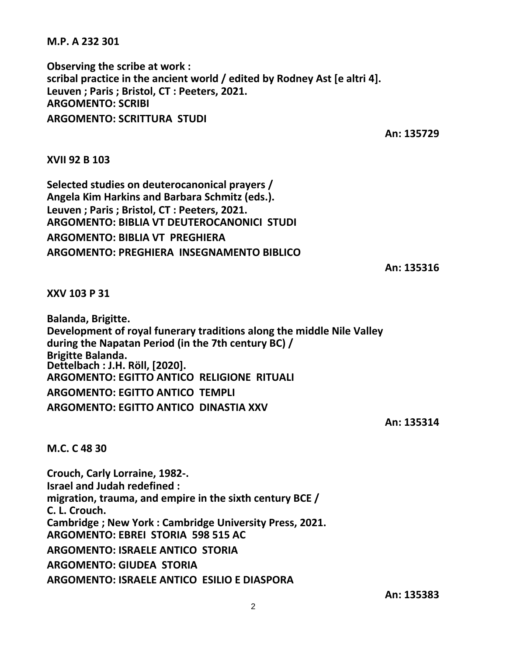**M.P. A 232 301**

**Observing the scribe at work : scribal practice in the ancient world / edited by Rodney Ast [e altri 4]. Leuven ; Paris ; Bristol, CT : Peeters, 2021. ARGOMENTO: SCRIBI ARGOMENTO: SCRITTURA STUDI**

**An: 135729**

**XVII 92 B 103**

**Selected studies on deuterocanonical prayers / Angela Kim Harkins and Barbara Schmitz (eds.). Leuven ; Paris ; Bristol, CT : Peeters, 2021. ARGOMENTO: BIBLIA VT DEUTEROCANONICI STUDI ARGOMENTO: BIBLIA VT PREGHIERA ARGOMENTO: PREGHIERA INSEGNAMENTO BIBLICO**

**An: 135316**

**XXV 103 P 31**

**Balanda, Brigitte. Development of royal funerary traditions along the middle Nile Valley during the Napatan Period (in the 7th century BC) / Brigitte Balanda. Dettelbach : J.H. Röll, [2020]. ARGOMENTO: EGITTO ANTICO RELIGIONE RITUALI ARGOMENTO: EGITTO ANTICO TEMPLI ARGOMENTO: EGITTO ANTICO DINASTIA XXV**

**An: 135314**

**M.C. C 48 30**

**Crouch, Carly Lorraine, 1982-. Israel and Judah redefined : migration, trauma, and empire in the sixth century BCE / C. L. Crouch. Cambridge ; New York : Cambridge University Press, 2021. ARGOMENTO: EBREI STORIA 598 515 AC ARGOMENTO: ISRAELE ANTICO STORIA ARGOMENTO: GIUDEA STORIA ARGOMENTO: ISRAELE ANTICO ESILIO E DIASPORA**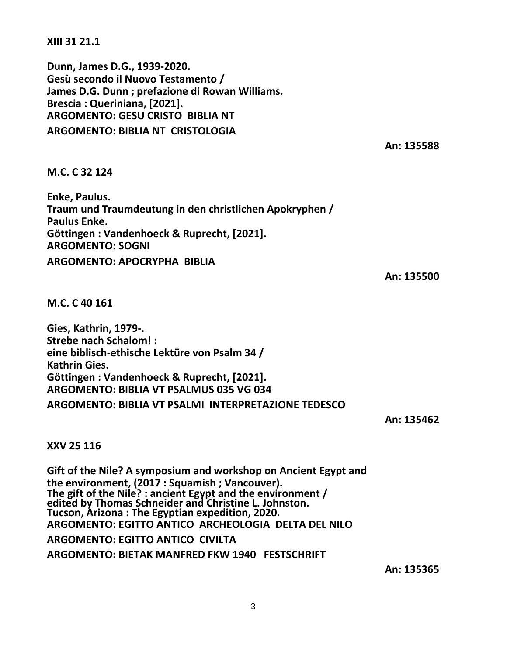**XIII 31 21.1**

**Dunn, James D.G., 1939-2020. Gesù secondo il Nuovo Testamento / James D.G. Dunn ; prefazione di Rowan Williams. Brescia : Queriniana, [2021]. ARGOMENTO: GESU CRISTO BIBLIA NT ARGOMENTO: BIBLIA NT CRISTOLOGIA**

**An: 135588**

## **M.C. C 32 124**

**Enke, Paulus. Traum und Traumdeutung in den christlichen Apokryphen / Paulus Enke. Göttingen : Vandenhoeck & Ruprecht, [2021]. ARGOMENTO: SOGNI ARGOMENTO: APOCRYPHA BIBLIA**

**An: 135500**

**M.C. C 40 161**

**Gies, Kathrin, 1979-. Strebe nach Schalom! : eine biblisch-ethische Lektüre von Psalm 34 / Kathrin Gies. Göttingen : Vandenhoeck & Ruprecht, [2021]. ARGOMENTO: BIBLIA VT PSALMUS 035 VG 034 ARGOMENTO: BIBLIA VT PSALMI INTERPRETAZIONE TEDESCO**

**An: 135462**

## **XXV 25 116**

**Gift of the Nile? A symposium and workshop on Ancient Egypt and the environment, (2017 : Squamish ; Vancouver). The gift of the Nile? : ancient Egypt and the environment / edited by Thomas Schneider and Christine L. Johnston. Tucson, Arizona : The Egyptian expedition, 2020. ARGOMENTO: EGITTO ANTICO ARCHEOLOGIA DELTA DEL NILO ARGOMENTO: EGITTO ANTICO CIVILTA ARGOMENTO: BIETAK MANFRED FKW 1940 FESTSCHRIFT**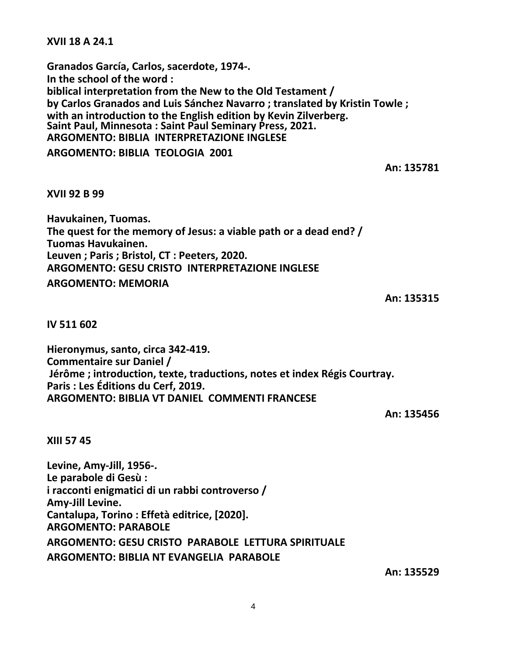**XVII 18 A 24.1**

**Granados García, Carlos, sacerdote, 1974-. In the school of the word : biblical interpretation from the New to the Old Testament / by Carlos Granados and Luis Sánchez Navarro ; translated by Kristin Towle ; with an introduction to the English edition by Kevin Zilverberg. Saint Paul, Minnesota : Saint Paul Seminary Press, 2021. ARGOMENTO: BIBLIA INTERPRETAZIONE INGLESE**

**ARGOMENTO: BIBLIA TEOLOGIA 2001**

**An: 135781**

**XVII 92 B 99**

**Havukainen, Tuomas. The quest for the memory of Jesus: a viable path or a dead end? / Tuomas Havukainen. Leuven ; Paris ; Bristol, CT : Peeters, 2020. ARGOMENTO: GESU CRISTO INTERPRETAZIONE INGLESE ARGOMENTO: MEMORIA**

**An: 135315**

**IV 511 602**

**Hieronymus, santo, circa 342-419. Commentaire sur Daniel / Jérôme ; introduction, texte, traductions, notes et index Régis Courtray. Paris : Les Éditions du Cerf, 2019. ARGOMENTO: BIBLIA VT DANIEL COMMENTI FRANCESE**

**An: 135456**

**XIII 57 45**

**Levine, Amy-Jill, 1956-. Le parabole di Gesù : i racconti enigmatici di un rabbi controverso / Amy-Jill Levine. Cantalupa, Torino : Effetà editrice, [2020]. ARGOMENTO: PARABOLE ARGOMENTO: GESU CRISTO PARABOLE LETTURA SPIRITUALE ARGOMENTO: BIBLIA NT EVANGELIA PARABOLE**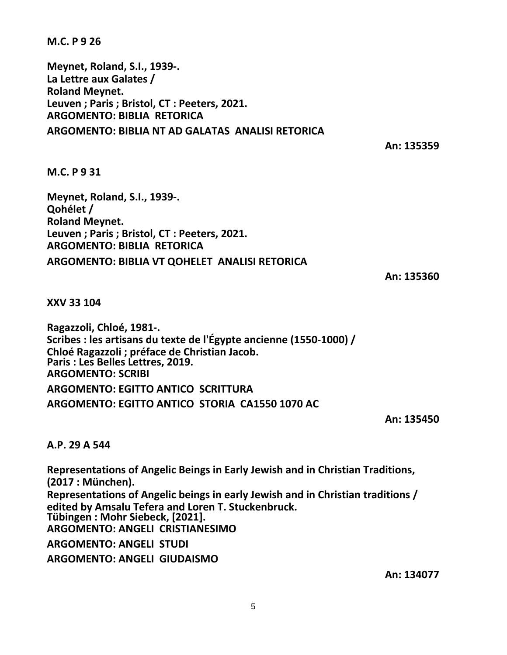**M.C. P 9 26**

**Meynet, Roland, S.I., 1939-. La Lettre aux Galates / Roland Meynet. Leuven ; Paris ; Bristol, CT : Peeters, 2021. ARGOMENTO: BIBLIA RETORICA ARGOMENTO: BIBLIA NT AD GALATAS ANALISI RETORICA**

**An: 135359**

**M.C. P 9 31**

**Meynet, Roland, S.I., 1939-. Qohélet / Roland Meynet. Leuven ; Paris ; Bristol, CT : Peeters, 2021. ARGOMENTO: BIBLIA RETORICA ARGOMENTO: BIBLIA VT QOHELET ANALISI RETORICA**

**An: 135360**

**XXV 33 104**

**Ragazzoli, Chloé, 1981-. Scribes : les artisans du texte de l'Égypte ancienne (1550-1000) / Chloé Ragazzoli ; préface de Christian Jacob. Paris : Les Belles Lettres, 2019. ARGOMENTO: SCRIBI ARGOMENTO: EGITTO ANTICO SCRITTURA ARGOMENTO: EGITTO ANTICO STORIA CA1550 1070 AC**

**An: 135450**

**A.P. 29 A 544**

**Representations of Angelic Beings in Early Jewish and in Christian Traditions, (2017 : München). Representations of Angelic beings in early Jewish and in Christian traditions / edited by Amsalu Tefera and Loren T. Stuckenbruck. Tübingen : Mohr Siebeck, [2021]. ARGOMENTO: ANGELI CRISTIANESIMO ARGOMENTO: ANGELI STUDI ARGOMENTO: ANGELI GIUDAISMO**